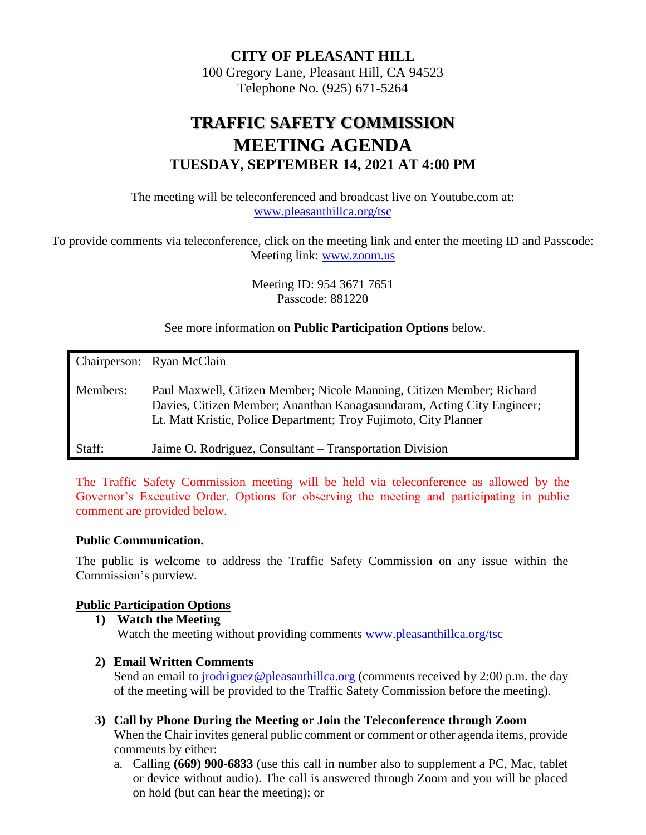#### **CITY OF PLEASANT HILL**

100 Gregory Lane, Pleasant Hill, CA 94523 Telephone No. (925) 671-5264

# **TRAFFIC SAFETY COMMISSION MEETING AGENDA TUESDAY, SEPTEMBER 14, 2021 AT 4:00 PM**

The meeting will be teleconferenced and broadcast live on Youtube.com at: [www.pleasanthillca.org/tsc](http://www.pleasanthillca.org/tsc)

To provide comments via teleconference, click on the meeting link and enter the meeting ID and Passcode: Meeting link: [www.zoom.us](http://www.zoom.us/)

> Meeting ID: 954 3671 7651 Passcode: 881220

See more information on **Public Participation Options** below.

|          | Chairperson: Ryan McClain                                                                                                                                                                                           |
|----------|---------------------------------------------------------------------------------------------------------------------------------------------------------------------------------------------------------------------|
| Members: | Paul Maxwell, Citizen Member; Nicole Manning, Citizen Member; Richard<br>Davies, Citizen Member; Ananthan Kanagasundaram, Acting City Engineer;<br>Lt. Matt Kristic, Police Department; Troy Fujimoto, City Planner |
| Staff:   | Jaime O. Rodriguez, Consultant – Transportation Division                                                                                                                                                            |

The Traffic Safety Commission meeting will be held via teleconference as allowed by the Governor's Executive Order. Options for observing the meeting and participating in public comment are provided below.

#### **Public Communication.**

The public is welcome to address the Traffic Safety Commission on any issue within the Commission's purview.

#### **Public Participation Options**

- **1) Watch the Meeting** Watch the meeting without providing comments [www.pleasanthillca.org/tsc](http://www.pleasanthillca.org/tsc)
- **2) Email Written Comments**

Send an email to *jrodriguez@pleasanthillca.org* (comments received by 2:00 p.m. the day of the meeting will be provided to the Traffic Safety Commission before the meeting).

- **3) Call by Phone During the Meeting or Join the Teleconference through Zoom** When the Chair invites general public comment or comment or other agenda items, provide comments by either:
	- a. Calling **(669) 900-6833** (use this call in number also to supplement a PC, Mac, tablet or device without audio). The call is answered through Zoom and you will be placed on hold (but can hear the meeting); or